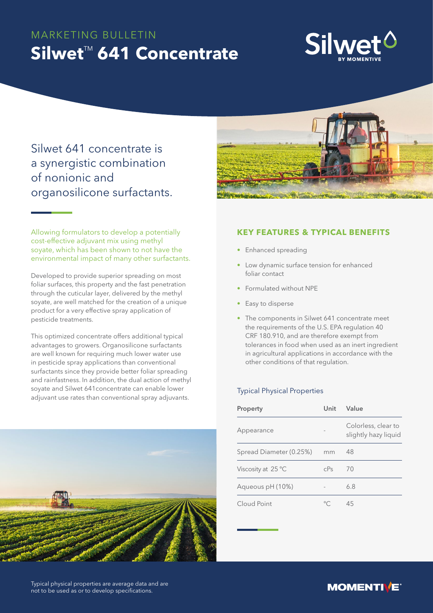# MARKETING BULLETIN **Silwet<sup>™</sup> 641 Concentrate**



Silwet 641 concentrate is a synergistic combination of nonionic and organosilicone surfactants.



Allowing formulators to develop a potentially cost-effective adjuvant mix using methyl soyate, which has been shown to not have the environmental impact of many other surfactants.

Developed to provide superior spreading on most foliar surfaces, this property and the fast penetration through the cuticular layer, delivered by the methyl soyate, are well matched for the creation of a unique product for a very effective spray application of pesticide treatments.

This optimized concentrate offers additional typical advantages to growers. Organosilicone surfactants are well known for requiring much lower water use in pesticide spray applications than conventional surfactants since they provide better foliar spreading and rainfastness. In addition, the dual action of methyl soyate and Silwet 641concentrate can enable lower adjuvant use rates than conventional spray adjuvants.



# **KEY FEATURES & TYPICAL BENEFITS**

- Enhanced spreading
- Low dynamic surface tension for enhanced foliar contact
- Formulated without NPE
- Easy to disperse
- The components in Silwet 641 concentrate meet the requirements of the U.S. EPA regulation 40 CRF 180.910, and are therefore exempt from tolerances in food when used as an inert ingredient in agricultural applications in accordance with the other conditions of that regulation.

## Typical Physical Properties

| Property                    | Unit   | Value                                       |
|-----------------------------|--------|---------------------------------------------|
| Appearance                  |        | Colorless, clear to<br>slightly hazy liquid |
| Spread Diameter (0.25%)     | mm     | 48                                          |
| Viscosity at $25^{\circ}$ C | $c$ Ps | 70                                          |
| Aqueous pH (10%)            |        | 6.8                                         |
| Cloud Point                 |        | 45                                          |

Typical physical properties are average data and are not to be used as or to develop specifications.

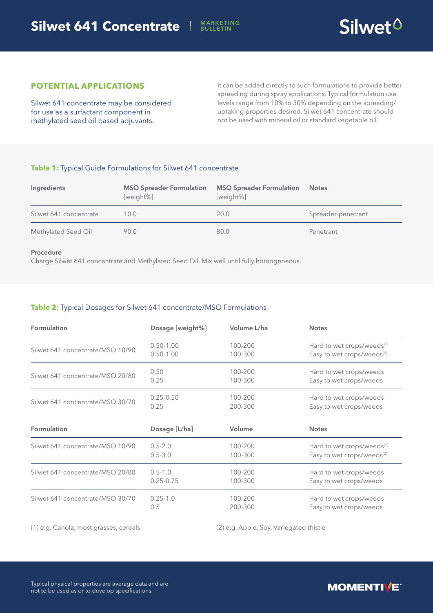

# **POTENTIAL APPLICATIONS**

Silwet 641 concentrate may be considered for use as a surfactant component in methylated seed oil based adjuvants.

It can be added directly to such formulations to provide better spreading during spray applications. Typical formulation use levels range from 10% to 30% depending on the spreading/ uptaking properties desired. Silwet 641 concentrate should not be used with mineral oil or standard vegetable oil.

## **Table 1:** Typical Guide Formulations for Silwet 641 concentrate

| Ingredients            | <b>MSO Spreader Formulation</b><br>[weight%] | <b>MSO Spreader Formulation</b><br>[weight%] | <b>Notes</b>       |
|------------------------|----------------------------------------------|----------------------------------------------|--------------------|
| Silwet 641 concentrate | 10.0                                         | 20.0                                         | Spreader-penetrant |
| Methylated Seed Oil    | 90.0                                         | 80.0                                         | Penetrant          |

#### Procedure

Charge Silwet 641 concentrate and Methylated Seed Oil. Mix well until fully homogeneous.

## **Table 2:** Typical Dosages for Silwet 641 concentrate/MSO Formulations

| <b>Formulation</b>               | Dosage [weight%] | Volume L/ha | <b>Notes</b>                           |
|----------------------------------|------------------|-------------|----------------------------------------|
| Silwet 641 concentrate/MSO 10/90 | $0.50 - 1.00$    | 100-200     | Hard to wet crops/weeds <sup>(1)</sup> |
|                                  | $0.50 - 1.00$    | 100-300     | Easy to wet crops/weeds <sup>(2)</sup> |
| Silwet 641 concentrate/MSO 20/80 | 0.50             | 100-200     | Hard to wet crops/weeds                |
|                                  | 0.25             | 100-300     | Easy to wet crops/weeds                |
| Silwet 641 concentrate/MSO 30/70 | $0.25 - 0.50$    | 100-200     | Hard to wet crops/weeds                |
|                                  | 0.25             | 200-300     | Easy to wet crops/weeds                |
| <b>Formulation</b>               | Dosage [L/ha]    | Volume      | <b>Notes</b>                           |
| Silwet 641 concentrate/MSO 10/90 | $0.5 - 2.0$      | 100-200     | Hard to wet crops/weeds <sup>(1)</sup> |
|                                  | $0.5 - 3.0$      | 100-300     | Easy to wet crops/weeds <sup>(2)</sup> |
|                                  |                  |             |                                        |
| Silwet 641 concentrate/MSO 20/80 | $0.5 - 1.0$      | 100-200     | Hard to wet crops/weeds                |
|                                  | $0.25 - 0.75$    | 100-300     | Easy to wet crops/weeds                |

(1) e.g. Canola, most grasses, cereals (2) e.g. Apple, Soy, Variegated thistle

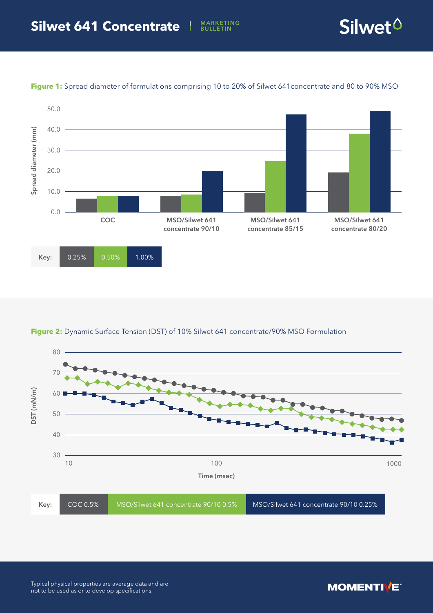MARKETING<br>BULLETIN





**Figure 1:** Spread diameter of formulations comprising 10 to 20% of Silwet 641concentrate and 80 to 90% MSO

## **Figure 2:** Dynamic Surface Tension (DST) of 10% Silwet 641 concentrate/90% MSO Formulation